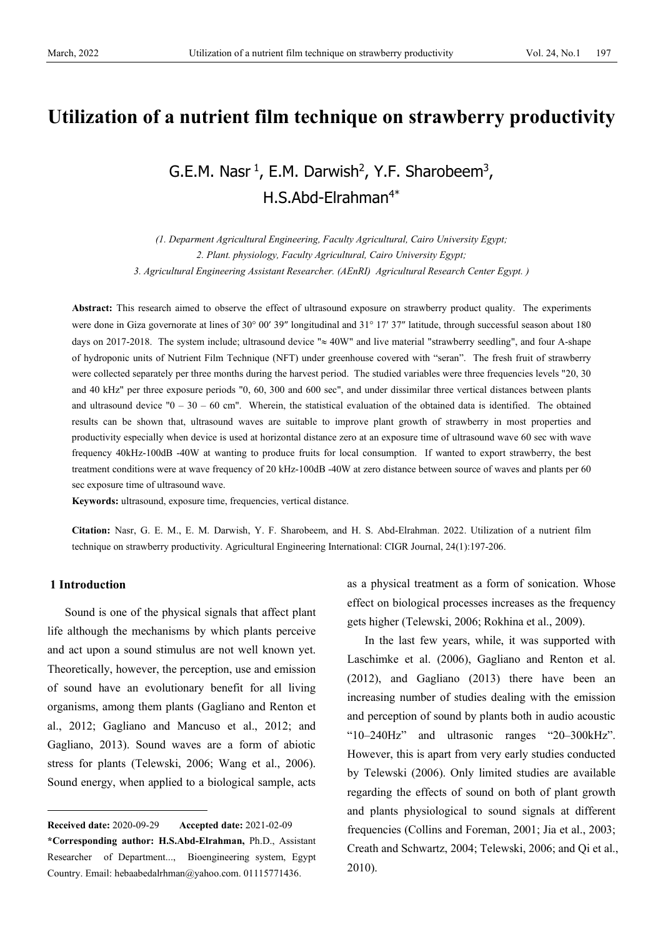# **Utilization of a nutrient film technique on strawberry productivity**

# G.E.M. Nasr  $^1$ , E.M. Darwish<sup>2</sup>, Y.F. Sharobeem<sup>3</sup>, H.S.Abd-Elrahman<sup>4\*</sup>

*(1. Deparment Agricultural Engineering, Faculty Agricultural, Cairo University Egypt; 2. Plant. physiology, Faculty Agricultural, Cairo University Egypt; 3. Agricultural Engineering Assistant Researcher. (AEnRI) Agricultural Research Center Egypt. )*

**Abstract:** This research aimed to observe the effect of ultrasound exposure on strawberry product quality. The experiments were done in Giza governorate at lines of 30° 00′ 39″ longitudinal and 31° 17′ 37″ latitude, through successful season about 180 days on 2017-2018. The system include; ultrasound device "≈ 40W" and live material "strawberry seedling", and four A-shape of hydroponic units of Nutrient Film Technique (NFT) under greenhouse covered with "seran". The fresh fruit of strawberry were collected separately per three months during the harvest period. The studied variables were three frequencies levels "20, 30" and 40 kHz" per three exposure periods "0, 60, 300 and 600 sec", and under dissimilar three vertical distances between plants and ultrasound device  $"0 - 30 - 60$  cm". Wherein, the statistical evaluation of the obtained data is identified. The obtained results can be shown that, ultrasound waves are suitable to improve plant growth of strawberry in most properties and productivity especially when device is used at horizontal distance zero at an exposure time of ultrasound wave 60 sec with wave frequency 40kHz-100dB -40W at wanting to produce fruits for local consumption. If wanted to export strawberry, the best treatment conditions were at wave frequency of 20 kHz-100dB -40W at zero distance between source of waves and plants per 60 sec exposure time of ultrasound wave.

**Keywords:** ultrasound, exposure time, frequencies, vertical distance.

**Citation:** Nasr, G. E. M., E. M. Darwish, Y. F. Sharobeem, and H. S. Abd-Elrahman. 2022. Utilization of a nutrient film technique on strawberry productivity. Agricultural Engineering International: CIGR Journal, 24(1):197-206.

## **1 Introduction**

Sound is one of the physical signals that affect plant life although the mechanisms by which plants perceive and act upon a sound stimulus are not well known yet. Theoretically, however, the perception, use and emission of sound have an evolutionary benefit for all living organisms, among them plants (Gagliano and Renton et al., 2012; Gagliano and Mancuso et al., 2012; and Gagliano, 2013). Sound waves are a form of abiotic stress for plants (Telewski, 2006; Wang et al., 2006). Sound energy, when applied to a biological sample, acts

as a physical treatment as a form of sonication. Whose effect on biological processes increases as the frequency gets higher (Telewski, 2006; Rokhina et al., 2009).

In the last few years, while, it was supported with Laschimke et al. (2006), Gagliano and Renton et al. (2012), and Gagliano (2013) there have been an increasing number of studies dealing with the emission and perception of sound by plants both in audio acoustic "10–240Hz" and ultrasonic ranges "20–300kHz". However, this is apart from very early studies conducted by Telewski (2006). Only limited studies are available regarding the effects of sound on both of plant growth and plants physiological to sound signals at different frequencies (Collins and Foreman, 2001; Jia et al., 2003; Creath and Schwartz, 2004; Telewski, 2006; and Qi et al., 2010).

<span id="page-0-0"></span>**Received date:** 2020-09-29 **Accepted date:** 2021-02-09 **\*Corresponding author: H.S.Abd-Elrahman,** Ph.D., Assistant Researcher of Department..., Bioengineering system, Egypt Country. Email: hebaabedalrhman@yahoo.com. 01115771436.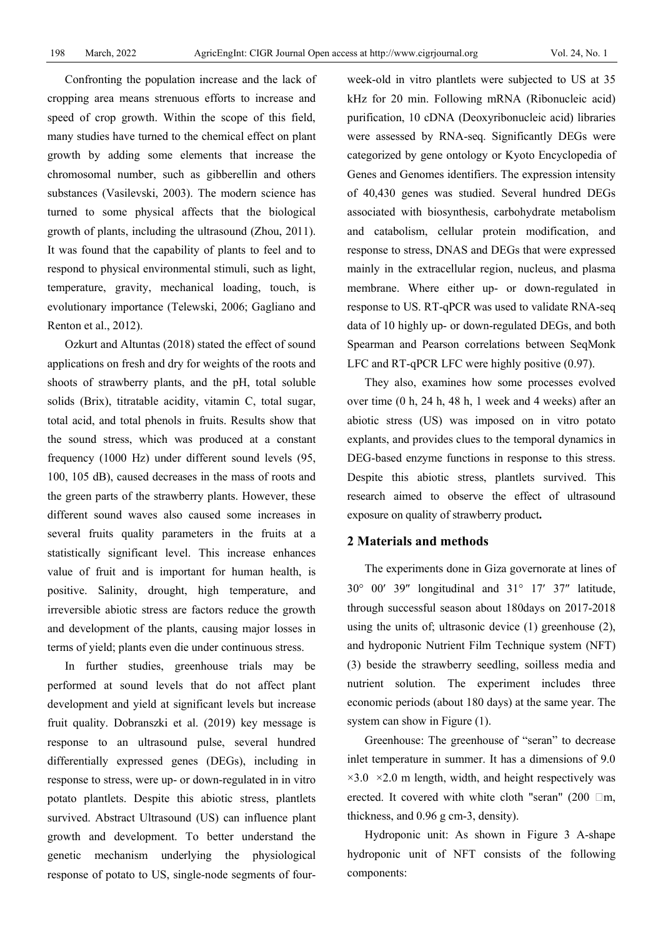Confronting the population increase and the lack of cropping area means strenuous efforts to increase and speed of crop growth. Within the scope of this field, many studies have turned to the chemical effect on plant growth by adding some elements that increase the chromosomal number, such as gibberellin and others substances (Vasilevski, 2003). The modern science has turned to some physical affects that the biological growth of plants, including the ultrasound (Zhou, 2011). It was found that the capability of plants to feel and to respond to physical environmental stimuli, such as light, temperature, gravity, mechanical loading, touch, is evolutionary importance (Telewski, 2006; Gagliano and Renton et al., 2012).

Ozkurt and Altuntas (2018) stated the effect of sound applications on fresh and dry for weights of the roots and shoots of strawberry plants, and the pH, total soluble solids (Brix), titratable acidity, vitamin C, total sugar, total acid, and total phenols in fruits. Results show that the sound stress, which was produced at a constant frequency (1000 Hz) under different sound levels (95, 100, 105 dB), caused decreases in the mass of roots and the green parts of the strawberry plants. However, these different sound waves also caused some increases in several fruits quality parameters in the fruits at a statistically significant level. This increase enhances value of fruit and is important for human health, is positive. Salinity, drought, high temperature, and irreversible abiotic stress are factors reduce the growth and development of the plants, causing major losses in terms of yield; plants even die under continuous stress.

In further studies, greenhouse trials may be performed at sound levels that do not affect plant development and yield at significant levels but increase fruit quality. Dobranszki et al. (2019) key message is response to an ultrasound pulse, several hundred differentially expressed genes (DEGs), including in response to stress, were up- or down-regulated in in vitro potato plantlets. Despite this abiotic stress, plantlets survived. Abstract Ultrasound (US) can influence plant growth and development. To better understand the genetic mechanism underlying the physiological response of potato to US, single-node segments of fourweek-old in vitro plantlets were subjected to US at 35 kHz for 20 min. Following mRNA (Ribonucleic acid) purification, 10 cDNA (Deoxyribonucleic acid) libraries were assessed by RNA-seq. Significantly DEGs were categorized by gene ontology or Kyoto Encyclopedia of Genes and Genomes identifiers. The expression intensity of 40,430 genes was studied. Several hundred DEGs associated with biosynthesis, carbohydrate metabolism and catabolism, cellular protein modification, and response to stress, DNAS and DEGs that were expressed mainly in the extracellular region, nucleus, and plasma membrane. Where either up- or down-regulated in response to US. RT-qPCR was used to validate RNA-seq data of 10 highly up- or down-regulated DEGs, and both Spearman and Pearson correlations between SeqMonk LFC and RT-qPCR LFC were highly positive (0.97).

They also, examines how some processes evolved over time (0 h, 24 h, 48 h, 1 week and 4 weeks) after an abiotic stress (US) was imposed on in vitro potato explants, and provides clues to the temporal dynamics in DEG-based enzyme functions in response to this stress. Despite this abiotic stress, plantlets survived. This research aimed to observe the effect of ultrasound exposure on quality of strawberry product**.** 

#### **2 Materials and methods**

The experiments done in Giza governorate at lines of 30° 00′ 39″ longitudinal and 31° 17′ 37″ latitude, through successful season about 180days on 2017-2018 using the units of; ultrasonic device (1) greenhouse (2), and hydroponic Nutrient Film Technique system (NFT) (3) beside the strawberry seedling, soilless media and nutrient solution. The experiment includes three economic periods (about 180 days) at the same year. The system can show in Figure (1).

Greenhouse: The greenhouse of "seran" to decrease inlet temperature in summer. It has a dimensions of 9.0  $\times$ 3.0  $\times$ 2.0 m length, width, and height respectively was erected. It covered with white cloth "seran" (200  $\Box$ m, thickness, and 0.96 g cm-3, density).

Hydroponic unit: As shown in Figure 3 A-shape hydroponic unit of NFT consists of the following components: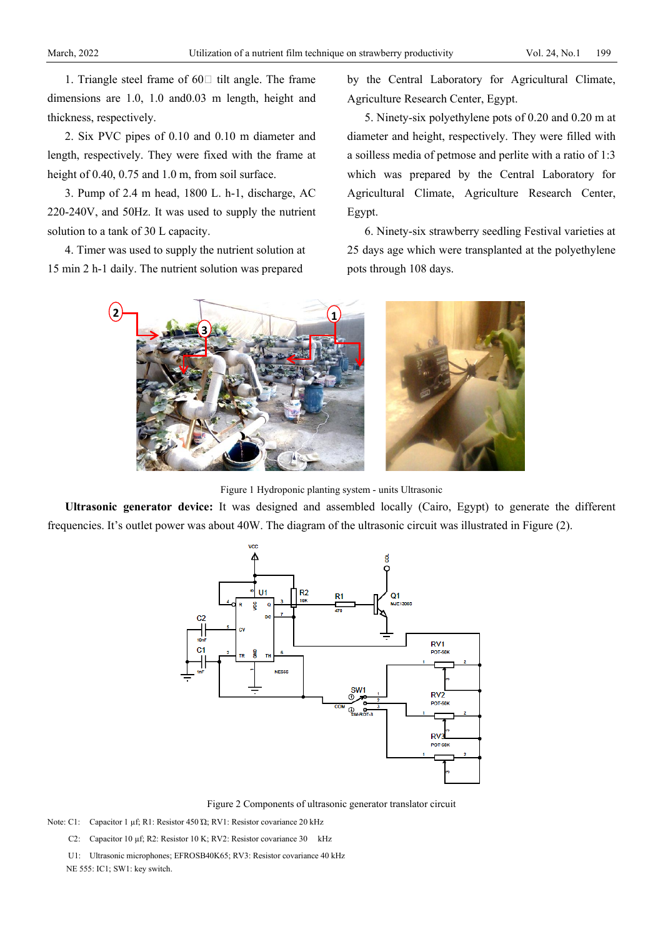1. Triangle steel frame of  $60\Box$  tilt angle. The frame dimensions are 1.0, 1.0 and0.03 m length, height and thickness, respectively.

2. Six PVC pipes of 0.10 and 0.10 m diameter and length, respectively. They were fixed with the frame at height of 0.40, 0.75 and 1.0 m, from soil surface.

3. Pump of 2.4 m head, 1800 L. h-1, discharge, AC 220-240V, and 50Hz. It was used to supply the nutrient solution to a tank of 30 L capacity.

4. Timer was used to supply the nutrient solution at 15 min 2 h-1 daily. The nutrient solution was prepared

by the Central Laboratory for Agricultural Climate, Agriculture Research Center, Egypt.

5. Ninety-six polyethylene pots of 0.20 and 0.20 m at diameter and height, respectively. They were filled with a soilless media of petmose and perlite with a ratio of 1:3 which was prepared by the Central Laboratory for Agricultural Climate, Agriculture Research Center, Egypt.

6. Ninety-six strawberry seedling Festival varieties at 25 days age which were transplanted at the polyethylene pots through 108 days.



Figure 1 Hydroponic planting system - units Ultrasonic

**Ultrasonic generator device:** It was designed and assembled locally (Cairo, Egypt) to generate the different frequencies. It's outlet power was about 40W. The diagram of the ultrasonic circuit was illustrated in Figure (2).



Figure 2 Components of ultrasonic generator translator circuit

Note: C1: Capacitor 1 µf; R1: Resistor 450 Ώ; RV1: Resistor covariance 20 kHz

C2: Capacitor 10 µf; R2: Resistor 10 K; RV2: Resistor covariance 30 kHz

 U1: Ultrasonic microphones; EFROSB40K65; RV3: Resistor covariance 40 kHz NE 555: IC1; SW1: key switch.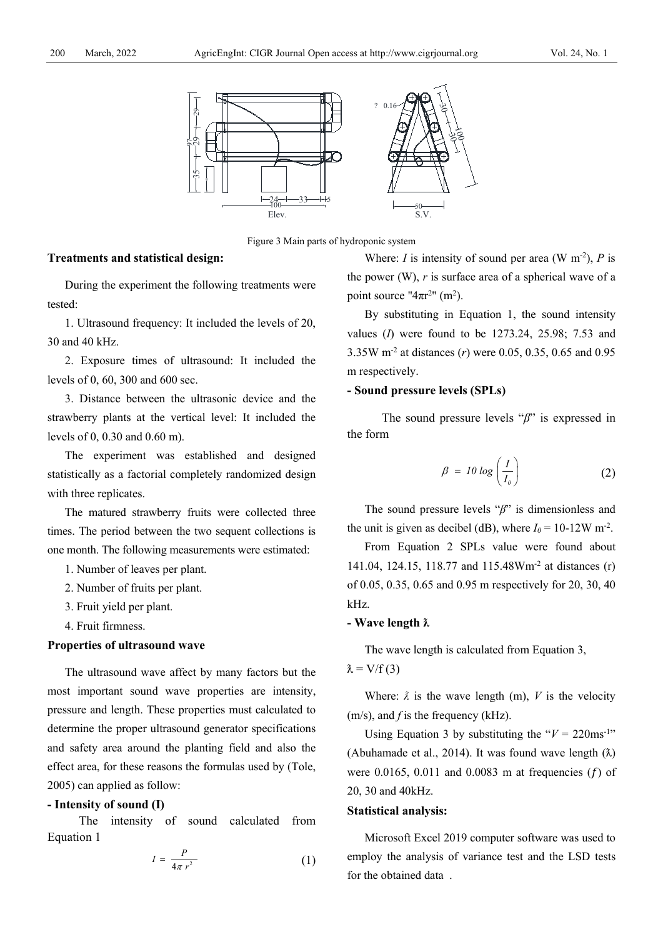

Figure 3 Main parts of hydroponic system

#### **Treatments and statistical design:**

During the experiment the following treatments were tested:

1. Ultrasound frequency: It included the levels of 20, 30 and 40 kHz.

2. Exposure times of ultrasound: It included the levels of 0, 60, 300 and 600 sec.

3. Distance between the ultrasonic device and the strawberry plants at the vertical level: It included the levels of 0, 0.30 and 0.60 m).

The experiment was established and designed statistically as a factorial completely randomized design with three replicates.

The matured strawberry fruits were collected three times. The period between the two sequent collections is one month. The following measurements were estimated:

- 1. Number of leaves per plant.
- 2. Number of fruits per plant.
- 3. Fruit yield per plant.
- 4. Fruit firmness.

### **Properties of ultrasound wave**

The ultrasound wave affect by many factors but the most important sound wave properties are intensity, pressure and length. These properties must calculated to determine the proper ultrasound generator specifications and safety area around the planting field and also the effect area, for these reasons the formulas used by (Tole, 2005) can applied as follow:

#### **- Intensity of sound (I)**

The intensity of sound calculated from Equation 1

$$
I = \frac{P}{4\pi r^2} \tag{1}
$$

Where: *I* is intensity of sound per area (W m<sup>-2</sup>), *P* is the power  $(W)$ , *r* is surface area of a spherical wave of a point source " $4\pi r^2$ " (m<sup>2</sup>).

By substituting in Equation 1, the sound intensity values (*I*) were found to be 1273.24, 25.98; 7.53 and 3.35W m-2 at distances (*r*) were 0.05, 0.35, 0.65 and 0.95 m respectively.

### **- Sound pressure levels (SPLs)**

The sound pressure levels "*β*" is expressed in the form

$$
\beta = 10 \log \left( \frac{I}{I_o} \right) \tag{2}
$$

The sound pressure levels "*β*" is dimensionless and the unit is given as decibel (dB), where  $I_0 = 10{\text -}12W \text{ m}^2$ .

From Equation 2 SPLs value were found about 141.04, 124.15, 118.77 and 115.48Wm-2 at distances (r) of 0.05, 0.35, 0.65 and 0.95 m respectively for 20, 30, 40 kHz.

#### **- Wave length ƛ**

The wave length is calculated from Equation 3,

$$
\lambda = V/f(3)
$$

Where:  $\lambda$  is the wave length (m),  $V$  is the velocity (m/s), and *f* is the frequency (kHz).

Using Equation 3 by substituting the " $V = 220 \text{ms}^{-1}$ " (Abuhamade et al., 2014). It was found wave length  $(\lambda)$ were 0.0165, 0.011 and 0.0083 m at frequencies  $(f)$  of 20, 30 and 40kHz.

#### **Statistical analysis :**

Microsoft Excel 2019 computer software was used to employ the analysis of variance test and the LSD tests for the obtained data .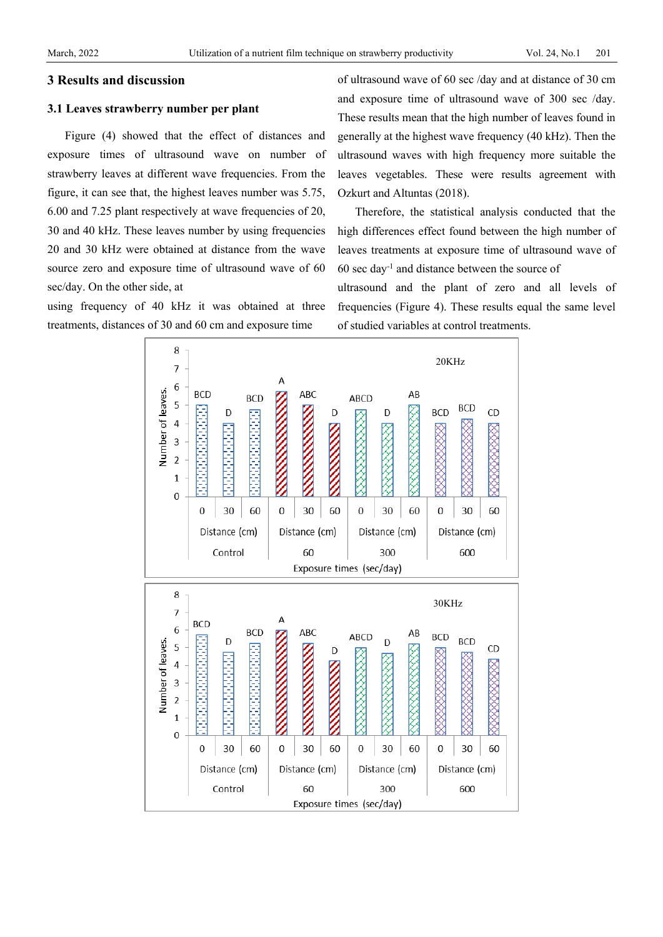### **3 Results and discussion**

#### **3.1 Leaves strawberry number per plant**

Figure (4) showed that the effect of distances and exposure times of ultrasound wave on number of strawberry leaves at different wave frequencies. From the figure, it can see that, the highest leaves number was 5.75, 6.00 and 7.25 plant respectively at wave frequencies of 20, 30 and 40 kHz. These leaves number by using frequencies 20 and 30 kHz were obtained at distance from the wave source zero and exposure time of ultrasound wave of 60 sec/day. On the other side, at

using frequency of 40 kHz it was obtained at three treatments, distances of 30 and 60 cm and exposure time

of ultrasound wave of 60 sec /day and at distance of 30 cm and exposure time of ultrasound wave of 300 sec /day. These results mean that the high number of leaves found in generally at the highest wave frequency (40 kHz). Then the ultrasound waves with high frequency more suitable the leaves vegetables. These were results agreement with Ozkurt and Altuntas (2018).

Therefore, the statistical analysis conducted that the high differences effect found between the high number of leaves treatments at exposure time of ultrasound wave of 60 sec day-1 and distance between the source of

ultrasound and the plant of zero and all levels of frequencies (Figure 4). These results equal the same level of studied variables at control treatments.

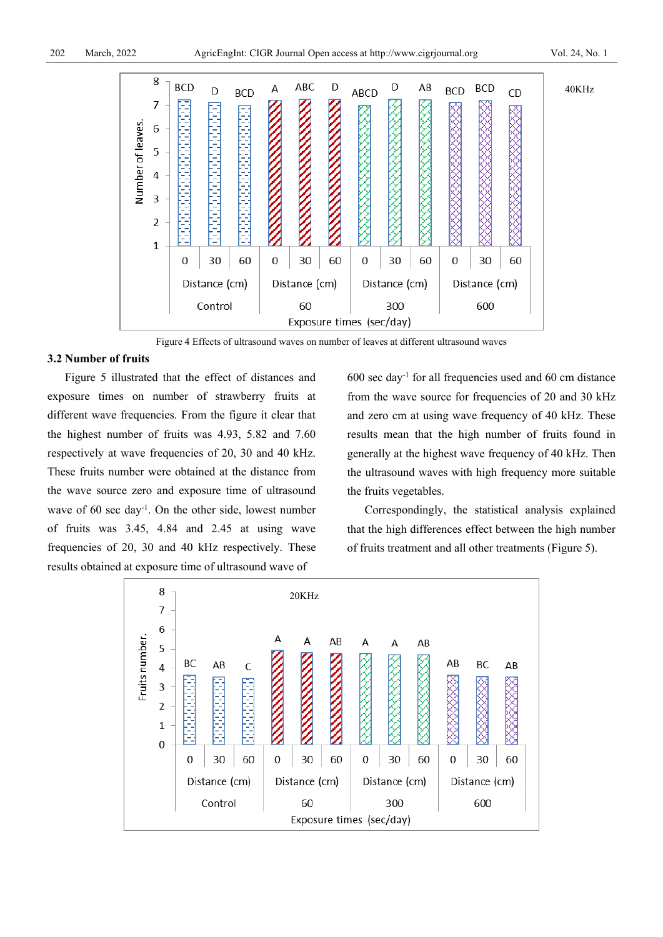40KHz



Figure 4 Effects of ultrasound waves on number of leaves at different ultrasound waves

#### **3.2 Number of fruits**

Figure 5 illustrated that the effect of distances and exposure times on number of strawberry fruits at different wave frequencies. From the figure it clear that the highest number of fruits was 4.93, 5.82 and 7.60 respectively at wave frequencies of 20, 30 and 40 kHz. These fruits number were obtained at the distance from the wave source zero and exposure time of ultrasound wave of  $60$  sec day<sup>-1</sup>. On the other side, lowest number of fruits was 3.45, 4.84 and 2.45 at using wave frequencies of 20, 30 and 40 kHz respectively. These results obtained at exposure time of ultrasound wave of

 $600$  sec day<sup>-1</sup> for all frequencies used and  $60$  cm distance from the wave source for frequencies of 20 and 30 kHz and zero cm at using wave frequency of 40 kHz. These results mean that the high number of fruits found in generally at the highest wave frequency of 40 kHz. Then the ultrasound waves with high frequency more suitable the fruits vegetables.

Correspondingly, the statistical analysis explained that the high differences effect between the high number of fruits treatment and all other treatments (Figure 5).

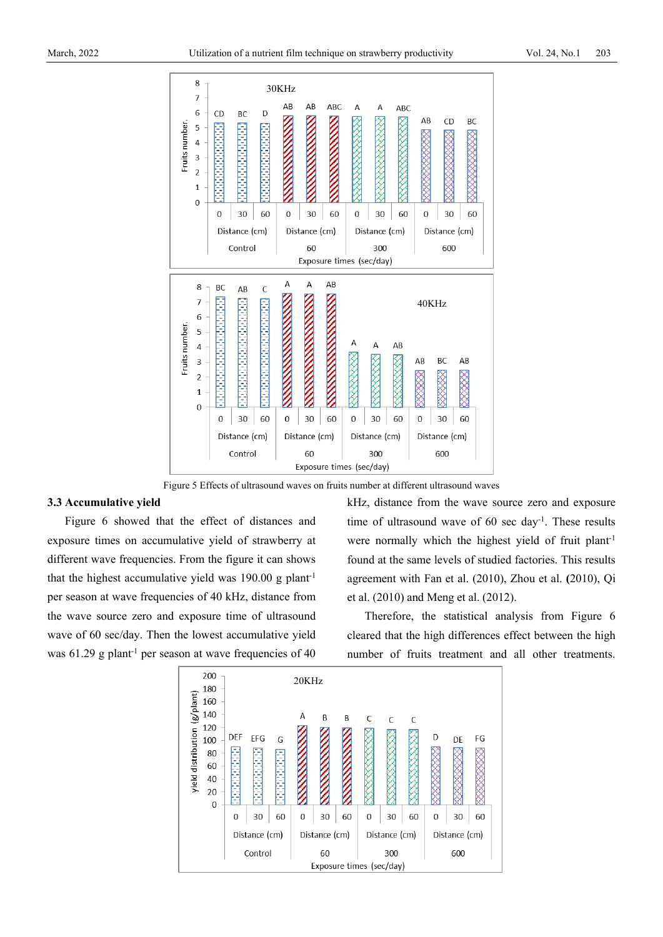

Figure 5 Effects of ultrasound waves on fruits number at different ultrasound waves

#### **3.3 Accumulative yield**

Figure 6 showed that the effect of distances and exposure times on accumulative yield of strawberry at different wave frequencies. From the figure it can shows that the highest accumulative yield was 190.00 g plant<sup>-1</sup> per season at wave frequencies of 40 kHz, distance from the wave source zero and exposure time of ultrasound wave of 60 sec/day. Then the lowest accumulative yield was  $61.29$  g plant<sup>-1</sup> per season at wave frequencies of 40 kHz, distance from the wave source zero and exposure time of ultrasound wave of  $60 \text{ sec day}^{-1}$ . These results were normally which the highest yield of fruit plant<sup>-1</sup> found at the same levels of studied factories. This results agreement with Fan et al. (2010), Zhou et al. **(**2010), Qi et al. (2010) and Meng et al. (2012).

Therefore, the statistical analysis from Figure 6 cleared that the high differences effect between the high number of fruits treatment and all other treatments.

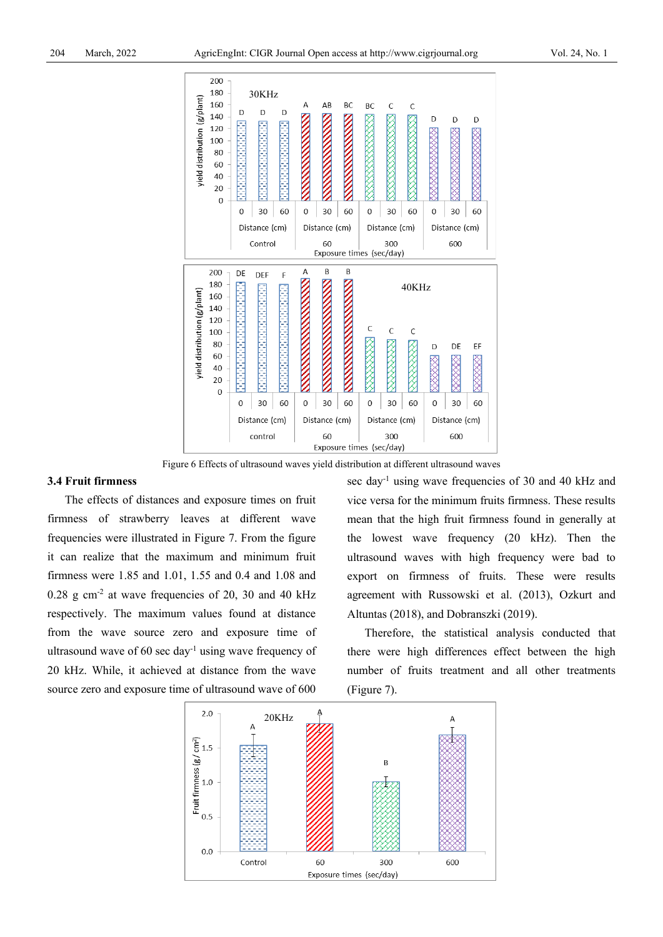

Figure 6 Effects of ultrasound waves yield distribution at different ultrasound waves

# **3.4 Fruit firmness**

The effects of distances and exposure times on fruit firmness of strawberry leaves at different wave frequencies were illustrated in Figure 7. From the figure it can realize that the maximum and minimum fruit firmness were 1.85 and 1.01, 1.55 and 0.4 and 1.08 and  $0.28$  g cm<sup>-2</sup> at wave frequencies of 20, 30 and 40 kHz respectively. The maximum values found at distance from the wave source zero and exposure time of ultrasound wave of  $60 \text{ sec day}^{-1}$  using wave frequency of 20 kHz. While, it achieved at distance from the wave source zero and exposure time of ultrasound wave of 600

sec day-1 using wave frequencies of 30 and 40 kHz and vice versa for the minimum fruits firmness. These results mean that the high fruit firmness found in generally at the lowest wave frequency (20 kHz). Then the ultrasound waves with high frequency were bad to export on firmness of fruits. These were results agreement with Russowski et al. (2013), Ozkurt and Altuntas (2018), and Dobranszki (2019).

Therefore, the statistical analysis conducted that there were high differences effect between the high number of fruits treatment and all other treatments (Figure 7).

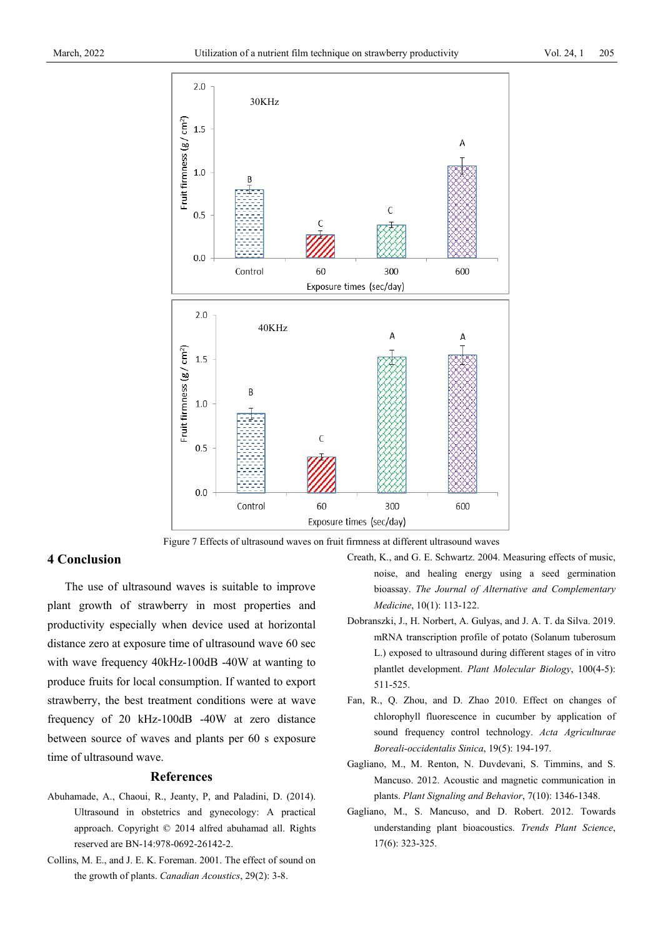



#### **4 Conclusion**

The use of ultrasound waves is suitable to improve plant growth of strawberry in most properties and productivity especially when device used at horizontal distance zero at exposure time of ultrasound wave 60 sec with wave frequency 40kHz-100dB -40W at wanting to produce fruits for local consumption. If wanted to export strawberry, the best treatment conditions were at wave frequency of 20 kHz-100dB -40W at zero distance between source of waves and plants per 60 s exposure time of ultrasound wave.

#### **References**

- Abuhamade, A., Chaoui, R., Jeanty, P, and Paladini, D. (2014). Ultrasound in obstetrics and gynecology: A practical approach. Copyright © 2014 alfred abuhamad all. Rights reserved are BN-14:978-0692-26142-2.
- Collins, M. E., and J. E. K. Foreman. 2001. The effect of sound on the growth of plants. *Canadian Acoustics*, 29(2): 3-8.
- Creath, K., and G. E. Schwartz. 2004. Measuring effects of music, noise, and healing energy using a seed germination bioassay. *The Journal of Alternative and Complementary Medicine*, 10(1): 113-122.
- Dobranszki, J., H. Norbert, A. Gulyas, and J. A. T. da Silva. 2019. mRNA transcription profile of potato (Solanum tuberosum L.) exposed to ultrasound during different stages of in vitro plantlet development. *[Plant Molecular Biology](https://www.researchgate.net/journal/0167-4412_Plant_Molecular_Biology)*, 100(4-5): 511-525.
- Fan, R., Q. Zhou, and D. Zhao 2010. Effect on changes of chlorophyll fluorescence in cucumber by application of sound frequency control technology. *Acta Agriculturae Boreali-occidentalis Sinica*, 19(5): 194-197.
- Gagliano, M., M. Renton, N. Duvdevani, S. Timmins, and S. Mancuso. 2012. Acoustic and magnetic communication in plants. *Plant Signaling and Behavior*, 7(10): 1346-1348.
- Gagliano, M., S. Mancuso, and D. Robert. 2012. Towards understanding plant bioacoustics. *Trends Plant Science*, 17(6): 323-325.